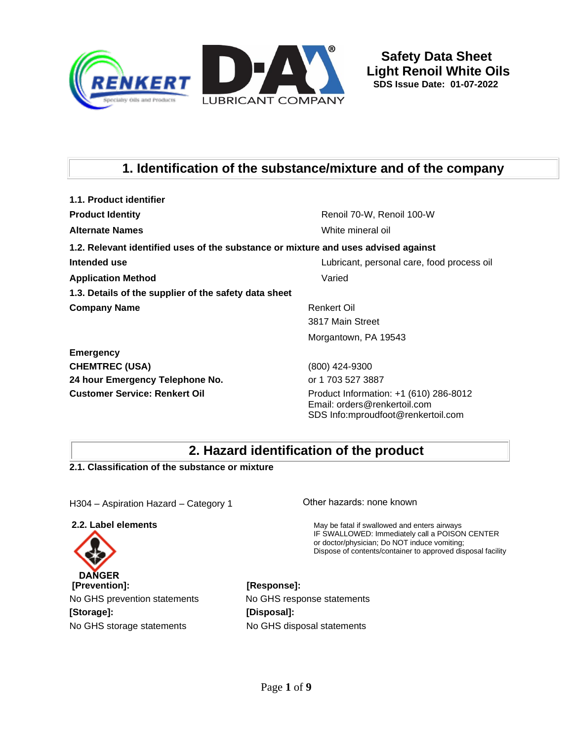

# **1. Identification of the substance/mixture and of the company**

| 1.1. Product identifier                                                            |                                                               |
|------------------------------------------------------------------------------------|---------------------------------------------------------------|
| <b>Product Identity</b>                                                            | Renoil 70-W, Renoil 100-W                                     |
| <b>Alternate Names</b>                                                             | White mineral oil                                             |
| 1.2. Relevant identified uses of the substance or mixture and uses advised against |                                                               |
| Intended use                                                                       | Lubricant, personal care, food process oil                    |
| <b>Application Method</b>                                                          | Varied                                                        |
| 1.3. Details of the supplier of the safety data sheet                              |                                                               |
| <b>Company Name</b>                                                                | <b>Renkert Oil</b>                                            |
|                                                                                    | 3817 Main Street                                              |
|                                                                                    | Morgantown, PA 19543                                          |
| <b>Emergency</b>                                                                   |                                                               |
| <b>CHEMTREC (USA)</b>                                                              | (800) 424-9300                                                |
| 24 hour Emergency Telephone No.                                                    | or 1 703 527 3887                                             |
|                                                                                    | $\left($ $($ $\alpha$ $)$ $\alpha$ $\alpha$ $\alpha$ $\alpha$ |

**Customer Service: Renkert Oil** Product Information: +1 (610) 286-8012 Email: orders@renkertoil.com SDS Info:mproudfoot@renkertoil.com

# **2. Hazard identification of the product**

**2.1. Classification of the substance or mixture**

H304 – Aspiration Hazard – Category 1

**2.2. Label elements**



**[Storage]: [Disposal]:**

Other hazards: none known

May be fatal if swallowed and enters airways IF SWALLOWED: Immediately call a POISON CENTER or doctor/physician; Do NOT induce vomiting; Dispose of contents/container to approved disposal facility

No GHS prevention statements No GHS response statements No GHS storage statements No GHS disposal statements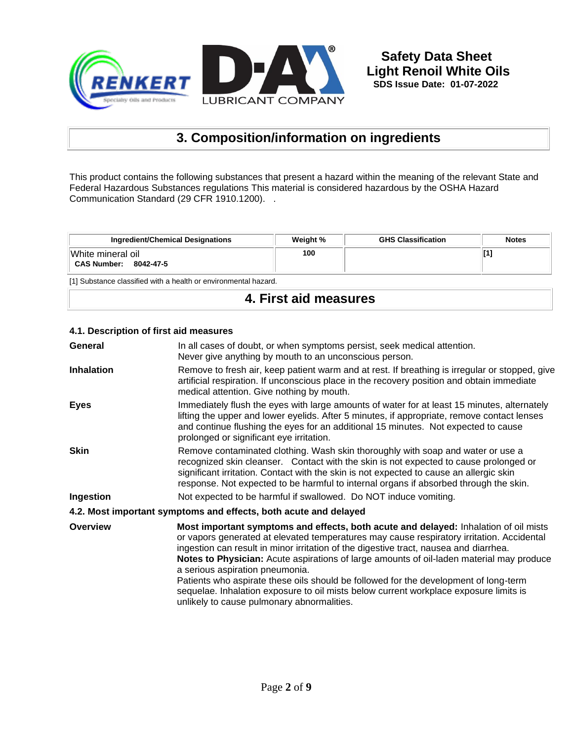

# **3. Composition/information on ingredients**

This product contains the following substances that present a hazard within the meaning of the relevant State and Federal Hazardous Substances regulations This material is considered hazardous by the OSHA Hazard Communication Standard (29 CFR 1910.1200). .

| Ingredient/Chemical Designations                     | Weight % | <b>GHS Classification</b> | <b>Notes</b> |
|------------------------------------------------------|----------|---------------------------|--------------|
| White mineral oil<br><b>CAS Number:</b><br>8042-47-5 | 100      |                           |              |

[1] Substance classified with a health or environmental hazard.

# **4. First aid measures**

| General           | In all cases of doubt, or when symptoms persist, seek medical attention.<br>Never give anything by mouth to an unconscious person.                                                                                                                                                                                                                                                                                                                                                                                                                                                                                                              |
|-------------------|-------------------------------------------------------------------------------------------------------------------------------------------------------------------------------------------------------------------------------------------------------------------------------------------------------------------------------------------------------------------------------------------------------------------------------------------------------------------------------------------------------------------------------------------------------------------------------------------------------------------------------------------------|
| <b>Inhalation</b> | Remove to fresh air, keep patient warm and at rest. If breathing is irregular or stopped, give<br>artificial respiration. If unconscious place in the recovery position and obtain immediate<br>medical attention. Give nothing by mouth.                                                                                                                                                                                                                                                                                                                                                                                                       |
| <b>Eyes</b>       | Immediately flush the eyes with large amounts of water for at least 15 minutes, alternately<br>lifting the upper and lower eyelids. After 5 minutes, if appropriate, remove contact lenses<br>and continue flushing the eyes for an additional 15 minutes. Not expected to cause<br>prolonged or significant eye irritation.                                                                                                                                                                                                                                                                                                                    |
| <b>Skin</b>       | Remove contaminated clothing. Wash skin thoroughly with soap and water or use a<br>recognized skin cleanser. Contact with the skin is not expected to cause prolonged or<br>significant irritation. Contact with the skin is not expected to cause an allergic skin<br>response. Not expected to be harmful to internal organs if absorbed through the skin.                                                                                                                                                                                                                                                                                    |
| Ingestion         | Not expected to be harmful if swallowed. Do NOT induce vomiting.                                                                                                                                                                                                                                                                                                                                                                                                                                                                                                                                                                                |
|                   | 4.2. Most important symptoms and effects, both acute and delayed                                                                                                                                                                                                                                                                                                                                                                                                                                                                                                                                                                                |
| <b>Overview</b>   | Most important symptoms and effects, both acute and delayed: Inhalation of oil mists<br>or vapors generated at elevated temperatures may cause respiratory irritation. Accidental<br>ingestion can result in minor irritation of the digestive tract, nausea and diarrhea.<br><b>Notes to Physician:</b> Acute aspirations of large amounts of oil-laden material may produce<br>a serious aspiration pneumonia.<br>Patients who aspirate these oils should be followed for the development of long-term<br>sequelae. Inhalation exposure to oil mists below current workplace exposure limits is<br>unlikely to cause pulmonary abnormalities. |

#### **4.1. Description of first aid measures**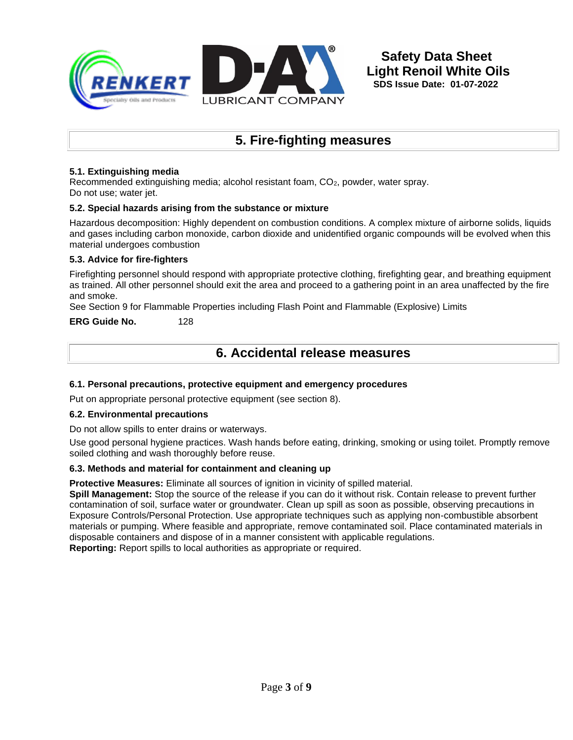

# **5. Fire-fighting measures**

#### **5.1. Extinguishing media**

Recommended extinguishing media; alcohol resistant foam, CO2, powder, water spray. Do not use; water jet.

#### **5.2. Special hazards arising from the substance or mixture**

Hazardous decomposition: Highly dependent on combustion conditions. A complex mixture of airborne solids, liquids and gases including carbon monoxide, carbon dioxide and unidentified organic compounds will be evolved when this material undergoes combustion

#### **5.3. Advice for fire-fighters**

Firefighting personnel should respond with appropriate protective clothing, firefighting gear, and breathing equipment as trained. All other personnel should exit the area and proceed to a gathering point in an area unaffected by the fire and smoke.

See Section 9 for Flammable Properties including Flash Point and Flammable (Explosive) Limits

**ERG Guide No.** 128

### **6. Accidental release measures**

#### **6.1. Personal precautions, protective equipment and emergency procedures**

Put on appropriate personal protective equipment (see section 8).

#### **6.2. Environmental precautions**

Do not allow spills to enter drains or waterways.

Use good personal hygiene practices. Wash hands before eating, drinking, smoking or using toilet. Promptly remove soiled clothing and wash thoroughly before reuse.

#### **6.3. Methods and material for containment and cleaning up**

**Protective Measures:** Eliminate all sources of ignition in vicinity of spilled material.

**Spill Management:** Stop the source of the release if you can do it without risk. Contain release to prevent further contamination of soil, surface water or groundwater. Clean up spill as soon as possible, observing precautions in Exposure Controls/Personal Protection. Use appropriate techniques such as applying non-combustible absorbent materials or pumping. Where feasible and appropriate, remove contaminated soil. Place contaminated materials in disposable containers and dispose of in a manner consistent with applicable regulations. **Reporting:** Report spills to local authorities as appropriate or required.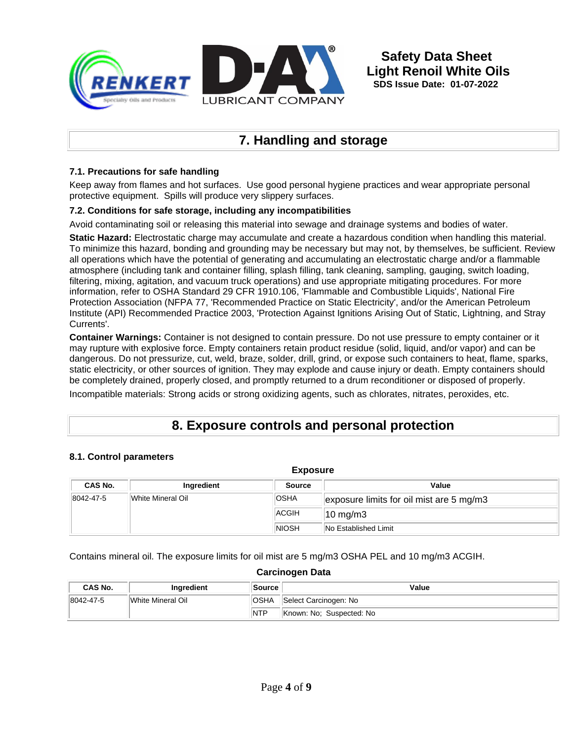

# **7. Handling and storage**

#### **7.1. Precautions for safe handling**

Keep away from flames and hot surfaces. Use good personal hygiene practices and wear appropriate personal protective equipment. Spills will produce very slippery surfaces.

#### **7.2. Conditions for safe storage, including any incompatibilities**

Avoid contaminating soil or releasing this material into sewage and drainage systems and bodies of water.

**Static Hazard:** Electrostatic charge may accumulate and create a hazardous condition when handling this material. To minimize this hazard, bonding and grounding may be necessary but may not, by themselves, be sufficient. Review all operations which have the potential of generating and accumulating an electrostatic charge and/or a flammable atmosphere (including tank and container filling, splash filling, tank cleaning, sampling, gauging, switch loading, filtering, mixing, agitation, and vacuum truck operations) and use appropriate mitigating procedures. For more information, refer to OSHA Standard 29 CFR 1910.106, 'Flammable and Combustible Liquids', National Fire Protection Association (NFPA 77, 'Recommended Practice on Static Electricity', and/or the American Petroleum Institute (API) Recommended Practice 2003, 'Protection Against Ignitions Arising Out of Static, Lightning, and Stray Currents'.

**Container Warnings:** Container is not designed to contain pressure. Do not use pressure to empty container or it may rupture with explosive force. Empty containers retain product residue (solid, liquid, and/or vapor) and can be dangerous. Do not pressurize, cut, weld, braze, solder, drill, grind, or expose such containers to heat, flame, sparks, static electricity, or other sources of ignition. They may explode and cause injury or death. Empty containers should be completely drained, properly closed, and promptly returned to a drum reconditioner or disposed of properly.

Incompatible materials: Strong acids or strong oxidizing agents, such as chlorates, nitrates, peroxides, etc.

## **8. Exposure controls and personal protection**

#### **8.1. Control parameters**

| <b>Exposure</b>                          |                   |              |                                          |  |  |
|------------------------------------------|-------------------|--------------|------------------------------------------|--|--|
| CAS No.<br>Value<br>Ingredient<br>Source |                   |              |                                          |  |  |
| 8042-47-5                                | White Mineral Oil | <b>OSHA</b>  | exposure limits for oil mist are 5 mg/m3 |  |  |
|                                          |                   | <b>ACGIH</b> | $10 \text{ mg/m}$                        |  |  |
|                                          |                   | <b>NIOSH</b> | <b>No Established Limit</b>              |  |  |

Contains mineral oil. The exposure limits for oil mist are 5 mg/m3 OSHA PEL and 10 mg/m3 ACGIH.

#### **Carcinogen Data**

| CAS No.   | <b>Inaredient</b> | <b>Source</b>                        | Value                    |
|-----------|-------------------|--------------------------------------|--------------------------|
| 8042-47-5 | White Mineral Oil | <b>OSHA</b><br>Select Carcinogen: No |                          |
|           |                   | <b>NTP</b>                           | Known: No: Suspected: No |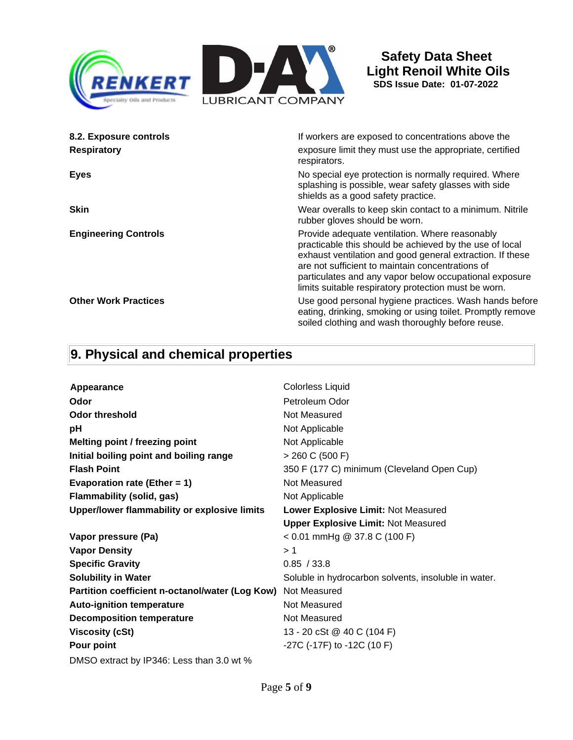

| 8.2. Exposure controls      | If workers are exposed to concentrations above the                                                                                                                                                                                                                                                                                           |
|-----------------------------|----------------------------------------------------------------------------------------------------------------------------------------------------------------------------------------------------------------------------------------------------------------------------------------------------------------------------------------------|
| <b>Respiratory</b>          | exposure limit they must use the appropriate, certified<br>respirators.                                                                                                                                                                                                                                                                      |
| <b>Eyes</b>                 | No special eye protection is normally required. Where<br>splashing is possible, wear safety glasses with side<br>shields as a good safety practice.                                                                                                                                                                                          |
| <b>Skin</b>                 | Wear overalls to keep skin contact to a minimum. Nitrile<br>rubber gloves should be worn.                                                                                                                                                                                                                                                    |
| <b>Engineering Controls</b> | Provide adequate ventilation. Where reasonably<br>practicable this should be achieved by the use of local<br>exhaust ventilation and good general extraction. If these<br>are not sufficient to maintain concentrations of<br>particulates and any vapor below occupational exposure<br>limits suitable respiratory protection must be worn. |
| <b>Other Work Practices</b> | Use good personal hygiene practices. Wash hands before<br>eating, drinking, smoking or using toilet. Promptly remove<br>soiled clothing and wash thoroughly before reuse.                                                                                                                                                                    |

# **9. Physical and chemical properties**

| Appearance                                      | Colorless Liquid                                     |
|-------------------------------------------------|------------------------------------------------------|
| Odor                                            | Petroleum Odor                                       |
| <b>Odor threshold</b>                           | Not Measured                                         |
| pH                                              | Not Applicable                                       |
| <b>Melting point / freezing point</b>           | Not Applicable                                       |
| Initial boiling point and boiling range         | $> 260$ C (500 F)                                    |
| <b>Flash Point</b>                              | 350 F (177 C) minimum (Cleveland Open Cup)           |
| Evaporation rate (Ether = $1$ )                 | Not Measured                                         |
| <b>Flammability (solid, gas)</b>                | Not Applicable                                       |
| Upper/lower flammability or explosive limits    | Lower Explosive Limit: Not Measured                  |
|                                                 | <b>Upper Explosive Limit: Not Measured</b>           |
| Vapor pressure (Pa)                             | $< 0.01$ mmHg @ 37.8 C (100 F)                       |
| <b>Vapor Density</b>                            | >1                                                   |
| <b>Specific Gravity</b>                         | 0.85 / 33.8                                          |
| <b>Solubility in Water</b>                      | Soluble in hydrocarbon solvents, insoluble in water. |
| Partition coefficient n-octanol/water (Log Kow) | Not Measured                                         |
| <b>Auto-ignition temperature</b>                | Not Measured                                         |
| <b>Decomposition temperature</b>                | Not Measured                                         |
| <b>Viscosity (cSt)</b>                          | 13 - 20 cSt @ 40 C (104 F)                           |
| Pour point                                      | -27C (-17F) to -12C (10 F)                           |
| DMSO extract by IP346: Less than 3.0 wt %       |                                                      |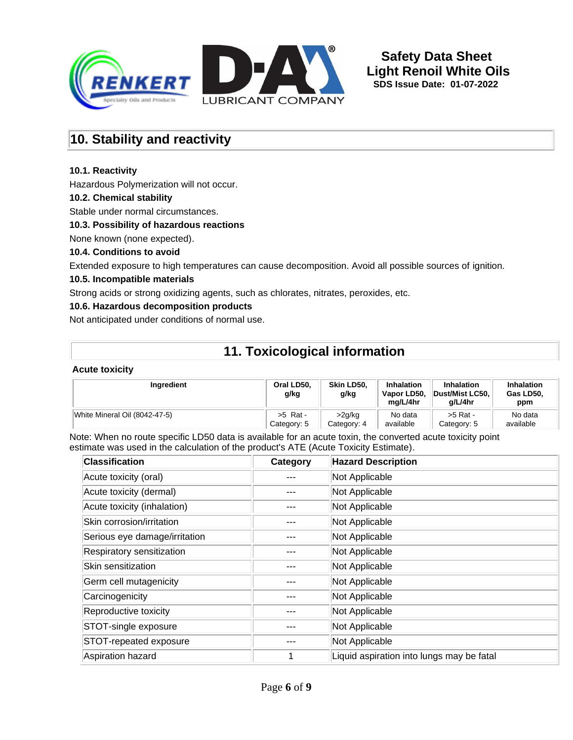

## **10. Stability and reactivity**

#### **10.1. Reactivity**

Hazardous Polymerization will not occur.

#### **10.2. Chemical stability**

Stable under normal circumstances.

#### **10.3. Possibility of hazardous reactions**

None known (none expected).

#### **10.4. Conditions to avoid**

Extended exposure to high temperatures can cause decomposition. Avoid all possible sources of ignition.

#### **10.5. Incompatible materials**

Strong acids or strong oxidizing agents, such as chlorates, nitrates, peroxides, etc.

#### **10.6. Hazardous decomposition products**

Not anticipated under conditions of normal use.

# **11. Toxicological information**

#### **Acute toxicity**

| Ingredient                    | Oral LD50.<br>g/kg | Skin LD50.<br>g/kg | Inhalation<br>Vapor LD50,<br>ma/L/4hr | <b>Inhalation</b><br>Dust/Mist LC50.<br>a/L/4hr | <b>Inhalation</b><br>Gas LD50.<br>ppm |
|-------------------------------|--------------------|--------------------|---------------------------------------|-------------------------------------------------|---------------------------------------|
| White Mineral Oil (8042-47-5) | $>5$ Rat -         | >2g/kg             | No data                               | >5 Rat -                                        | No data                               |
|                               | Category: 5        | Category: 4        | available                             | Category: 5                                     | available                             |

Note: When no route specific LD50 data is available for an acute toxin, the converted acute toxicity point estimate was used in the calculation of the product's ATE (Acute Toxicity Estimate).

| <b>Classification</b>         | Category | <b>Hazard Description</b>                 |
|-------------------------------|----------|-------------------------------------------|
| Acute toxicity (oral)         |          | Not Applicable                            |
| Acute toxicity (dermal)       |          | Not Applicable                            |
| Acute toxicity (inhalation)   |          | Not Applicable                            |
| Skin corrosion/irritation     |          | Not Applicable                            |
| Serious eye damage/irritation |          | Not Applicable                            |
| Respiratory sensitization     |          | Not Applicable                            |
| Skin sensitization            |          | Not Applicable                            |
| Germ cell mutagenicity        |          | Not Applicable                            |
| Carcinogenicity               |          | Not Applicable                            |
| Reproductive toxicity         |          | Not Applicable                            |
| STOT-single exposure          |          | Not Applicable                            |
| STOT-repeated exposure        |          | Not Applicable                            |
| Aspiration hazard             |          | Liquid aspiration into lungs may be fatal |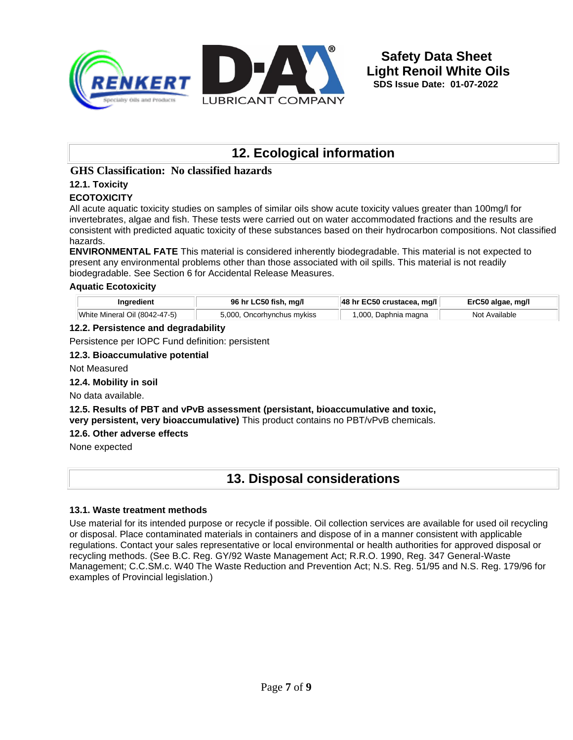

# **12. Ecological information**

#### **GHS Classification: No classified hazards**

### **12.1. Toxicity**

#### **ECOTOXICITY**

All acute aquatic toxicity studies on samples of similar oils show acute toxicity values greater than 100mg/l for invertebrates, algae and fish. These tests were carried out on water accommodated fractions and the results are consistent with predicted aquatic toxicity of these substances based on their hydrocarbon compositions. Not classified hazards.

**ENVIRONMENTAL FATE** This material is considered inherently biodegradable. This material is not expected to present any environmental problems other than those associated with oil spills. This material is not readily biodegradable. See Section 6 for Accidental Release Measures.

#### **Aquatic Ecotoxicity**

| Ingredient                    | 96 hr LC50 fish, mg/l      | $ 48$ hr EC50 crustacea, mg/l | ErC50 algae, mg/l |
|-------------------------------|----------------------------|-------------------------------|-------------------|
| White Mineral Oil (8042-47-5) | 5,000, Oncorhynchus mykiss | 1,000, Daphnia magna          | Not Available     |

#### **12.2. Persistence and degradability**

Persistence per IOPC Fund definition: persistent

#### **12.3. Bioaccumulative potential**

Not Measured

#### **12.4. Mobility in soil**

No data available.

**12.5. Results of PBT and vPvB assessment (persistant, bioaccumulative and toxic, very persistent, very bioaccumulative)** This product contains no PBT/vPvB chemicals.

#### **12.6. Other adverse effects**

None expected

## **13. Disposal considerations**

#### **13.1. Waste treatment methods**

Use material for its intended purpose or recycle if possible. Oil collection services are available for used oil recycling or disposal. Place contaminated materials in containers and dispose of in a manner consistent with applicable regulations. Contact your sales representative or local environmental or health authorities for approved disposal or recycling methods. (See B.C. Reg. GY/92 Waste Management Act; R.R.O. 1990, Reg. 347 General-Waste Management; C.C.SM.c. W40 The Waste Reduction and Prevention Act; N.S. Reg. 51/95 and N.S. Reg. 179/96 for examples of Provincial legislation.)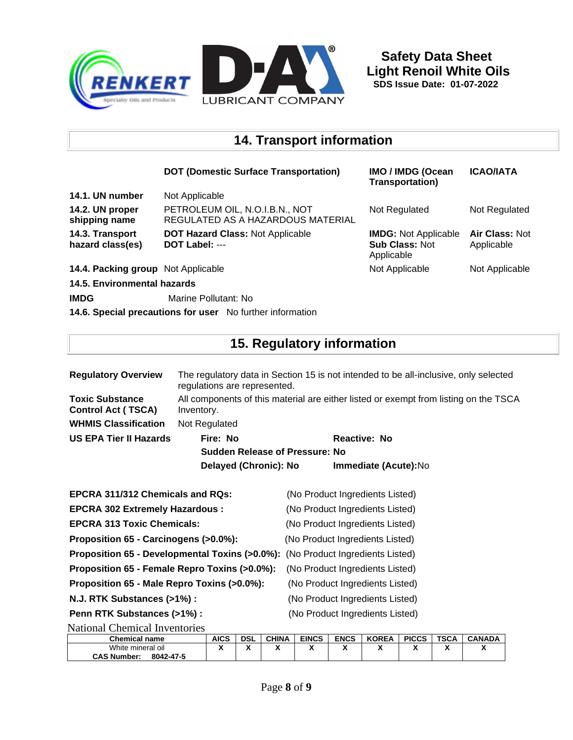

### **14. Transport information**

|                                     | <b>DOT (Domestic Surface Transportation)</b>                        | IMO / IMDG (Ocean<br><b>Transportation</b> )                       | <b>ICAO/IATA</b>             |
|-------------------------------------|---------------------------------------------------------------------|--------------------------------------------------------------------|------------------------------|
| 14.1. UN number                     | Not Applicable                                                      |                                                                    |                              |
| 14.2. UN proper<br>shipping name    | PETROLEUM OIL, N.O.I.B.N., NOT<br>REGULATED AS A HAZARDOUS MATERIAL | Not Regulated                                                      | Not Regulated                |
| 14.3. Transport<br>hazard class(es) | <b>DOT Hazard Class: Not Applicable</b><br>DOT Label: ---           | <b>IMDG: Not Applicable</b><br><b>Sub Class: Not</b><br>Applicable | Air Class: Not<br>Applicable |
| 14.4. Packing group Not Applicable  |                                                                     | Not Applicable                                                     | Not Applicable               |
| 14.5. Environmental hazards         |                                                                     |                                                                    |                              |
| <b>IMDG</b>                         | Marine Pollutant: No                                                |                                                                    |                              |

**14.6. Special precautions for user** No further information

## **15. Regulatory information**

| <b>Regulatory Overview</b>                          | The regulatory data in Section 15 is not intended to be all-inclusive, only selected<br>regulations are represented. |                     |                                 |  |  |
|-----------------------------------------------------|----------------------------------------------------------------------------------------------------------------------|---------------------|---------------------------------|--|--|
| <b>Toxic Substance</b><br><b>Control Act (TSCA)</b> | All components of this material are either listed or exempt from listing on the TSCA<br>Inventory.                   |                     |                                 |  |  |
| <b>WHMIS Classification</b>                         | Not Regulated                                                                                                        |                     |                                 |  |  |
| US EPA Tier II Hazards                              | Fire: No                                                                                                             | <b>Reactive: No</b> |                                 |  |  |
|                                                     | <b>Sudden Release of Pressure: No</b>                                                                                |                     |                                 |  |  |
|                                                     | Delayed (Chronic): No                                                                                                |                     | <b>Immediate (Acute):No</b>     |  |  |
| <b>EPCRA 311/312 Chemicals and RQs:</b>             |                                                                                                                      |                     | (No Product Ingredients Listed) |  |  |
| <b>EPCRA 302 Extremely Hazardous:</b>               |                                                                                                                      |                     | (No Product Ingredients Listed) |  |  |
|                                                     |                                                                                                                      |                     | $\mathbf{A}$                    |  |  |

**EPCRA 313 Toxic Chemicals:** (No Product Ingredients Listed)

**Proposition 65 - Carcinogens (>0.0%):** (No Product Ingredients Listed)

**Proposition 65 - Developmental Toxins (>0.0%):** (No Product Ingredients Listed)

**Proposition 65 - Female Repro Toxins (>0.0%):** (No Product Ingredients Listed)

**Proposition 65 - Male Repro Toxins (>0.0%):** (No Product Ingredients Listed)

**Penn RTK Substances (>1%) :** (No Product Ingredients Listed)

**N.J. RTK Substances (>1%) :** (No Product Ingredients Listed)

National Chemical Inventories

| <b>Chemical name</b>            | <b>AICS</b> | <b>DSL</b>           | <b>CHINA</b>         | <b>EINCS</b> | <b>ENCS</b> | <b>KOREA</b> | <b>PICCS</b> | TSCA                        | <b>CANADA</b> |
|---------------------------------|-------------|----------------------|----------------------|--------------|-------------|--------------|--------------|-----------------------------|---------------|
| White mineral oil               |             | $\ddot{\phantom{0}}$ | $\ddot{\phantom{1}}$ |              | - -         | - -          |              | $\ddot{\phantom{1}}$<br>. . |               |
| <b>CAS Number:</b><br>8042-47-5 |             |                      |                      |              |             |              |              |                             |               |